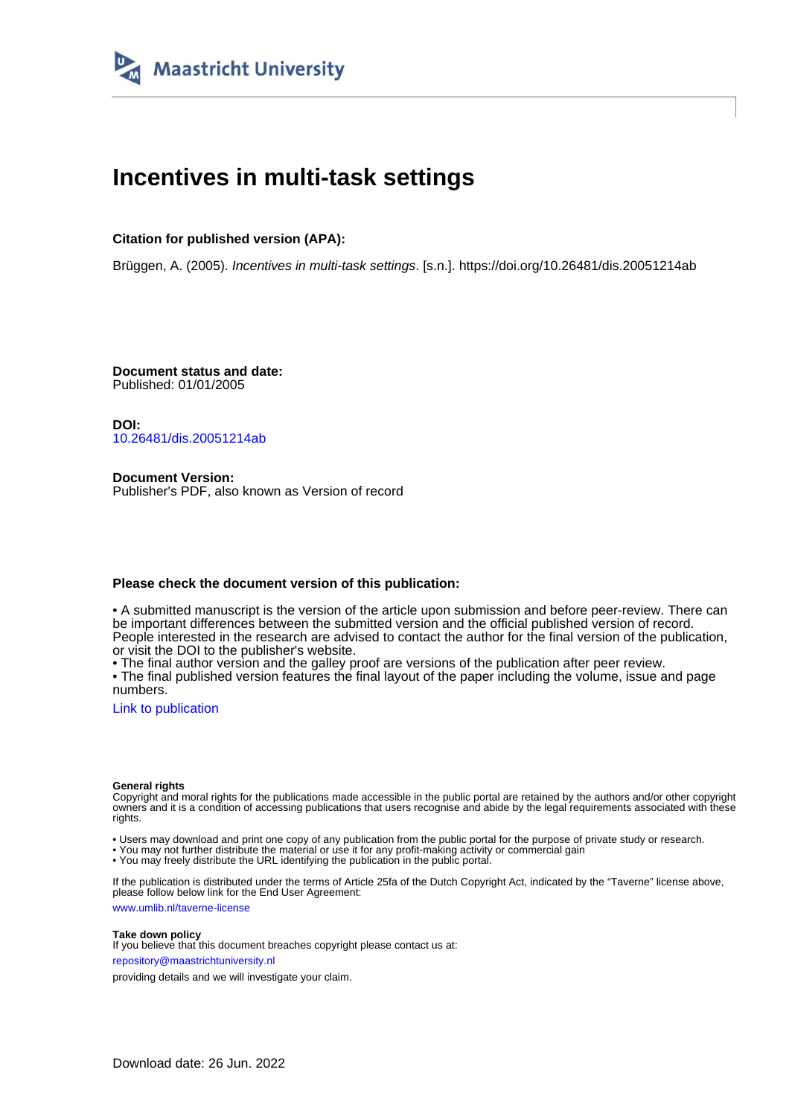

# **Incentives in multi-task settings**

### **Citation for published version (APA):**

Brüggen, A. (2005). Incentives in multi-task settings. [s.n.].<https://doi.org/10.26481/dis.20051214ab>

**Document status and date:** Published: 01/01/2005

**DOI:** [10.26481/dis.20051214ab](https://doi.org/10.26481/dis.20051214ab)

**Document Version:** Publisher's PDF, also known as Version of record

#### **Please check the document version of this publication:**

• A submitted manuscript is the version of the article upon submission and before peer-review. There can be important differences between the submitted version and the official published version of record. People interested in the research are advised to contact the author for the final version of the publication, or visit the DOI to the publisher's website.

• The final author version and the galley proof are versions of the publication after peer review.

• The final published version features the final layout of the paper including the volume, issue and page numbers.

[Link to publication](https://cris.maastrichtuniversity.nl/en/publications/0ca75d4f-254e-4036-a44b-160b09074f29)

#### **General rights**

Copyright and moral rights for the publications made accessible in the public portal are retained by the authors and/or other copyright owners and it is a condition of accessing publications that users recognise and abide by the legal requirements associated with these rights.

• Users may download and print one copy of any publication from the public portal for the purpose of private study or research.

• You may not further distribute the material or use it for any profit-making activity or commercial gain

• You may freely distribute the URL identifying the publication in the public portal.

If the publication is distributed under the terms of Article 25fa of the Dutch Copyright Act, indicated by the "Taverne" license above, please follow below link for the End User Agreement:

www.umlib.nl/taverne-license

#### **Take down policy**

If you believe that this document breaches copyright please contact us at: repository@maastrichtuniversity.nl

providing details and we will investigate your claim.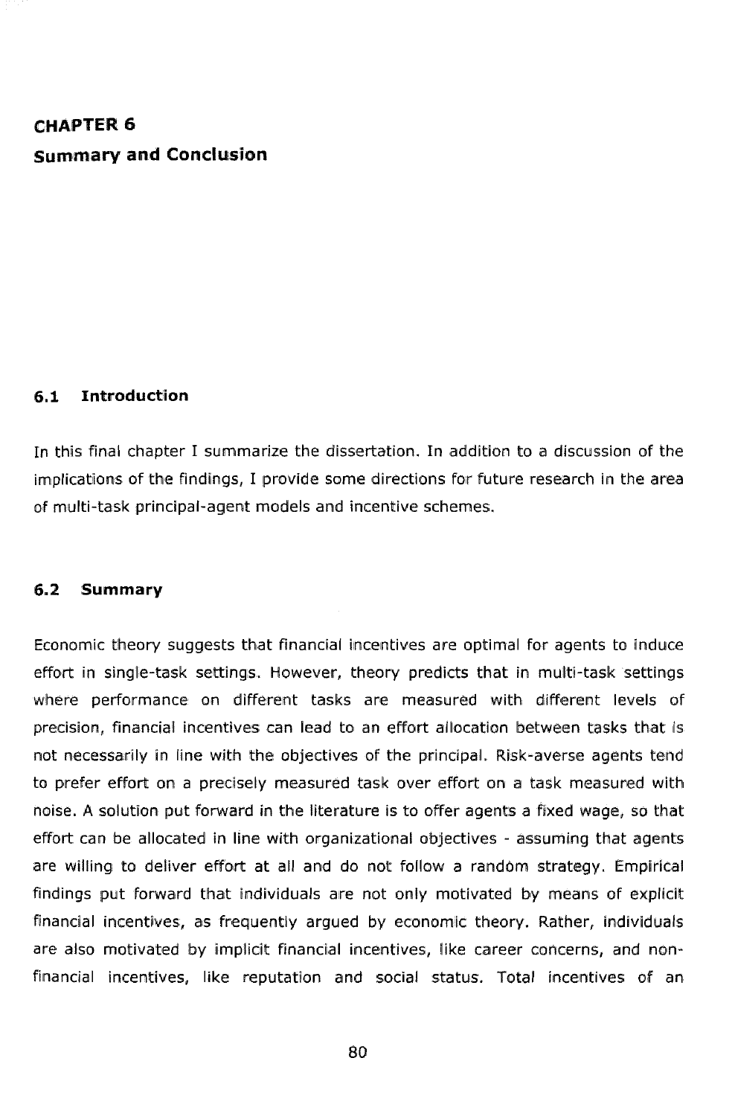## **CHAPTER 6 Summary and Conclusion**

#### **6.1 Introduction**

In this final chapter I summarize the dissertation. In addition to a discussion of the implications of the findings, I provide some directions for future research in the area of multi-task principal-agent models and incentive schemes.

#### **6.2 Summary**

Economic theory suggests that financial incentives are optimal for agents to induce effort in single-task settings. However, theory predicts that in multi-task settings where performance on different tasks are measured with different levels of precision, financial incentives can lead to an effort allocation between tasks that is not necessarily in line with the objectives of the principal. Risk-averse agents tend to prefer effort on a precisely measured task over effort on a task measured with hoise. A solution put forward in the literature is to offer agents a fixed wage, so that effort can be allocated in line with organizational objectives - assuming that agents are willing to deliver effort at all and do not follow a random strategy. Empirical findings put forward that individuals are not only motivated by means of explicit financial incentives, as frequently argued by economic theory. Rather, individuals are also motivated by implicit financial incentives, like career concerns, and nonfinancial incentives, like reputation and social status. Total incentives of an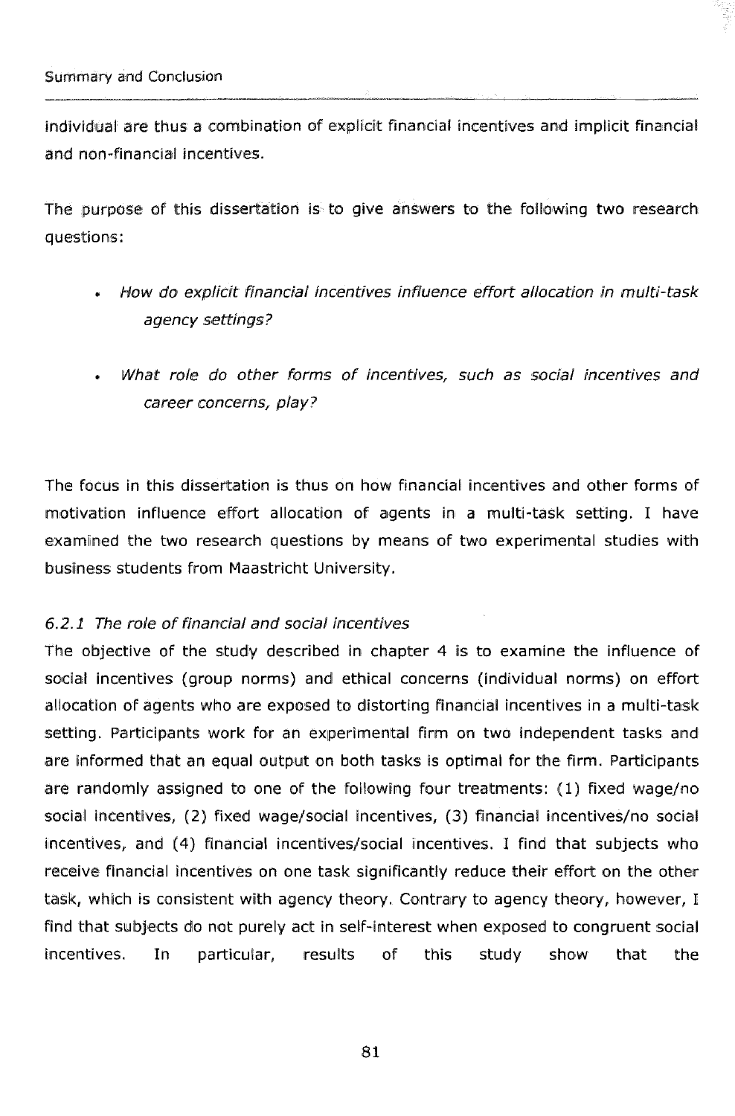individual are thus a combination of explicit financial incentives and implicit financial and non-financial incentives.

The purpose of this dissertation is to give answers to the following two research questions:

- **How do explicit financial incentives influence effort allocation in multi-task** agency settings?
- What role do other forms of incentives, such as social incentives and career concerns, play?

The focus in this dissertation is thus on how financial incentives and other forms of motivation influence effort allocation of agents in a multi-task setting. I have examined the two research questions by means of two experimental studies with business students from Maastricht University.

#### 6.2.5 The ra!e **of** *fjnancfal* and socfal incentives

The objective of the study described in chapter 4 is to examine the influence of social incentives (group norms) and ethical concerns (individual norms) on effort allocation **OF** agents who are exposed to dlistorting financial incentives in a multi-task setting. Participants work for an experimental firm on two independent tasks and are informed that an equal output on both tasks is optimal for the firm. Participants are randomly assigned to one of the following four treatments: (1) fixed wage/no social incentives, (2) fixed wage/social incentives, (3) financial incentives/no social incentives, and (4) financial incentives/social incentives. I find that subjects who receive financial incentives on one task significantly reduce their effort on the other task, which is consistent with agency theory. Contrary to agency theory, however, I find that subjects do not purely act in self-interest when exposed to congruent social incentives. In particular, results of this study show that the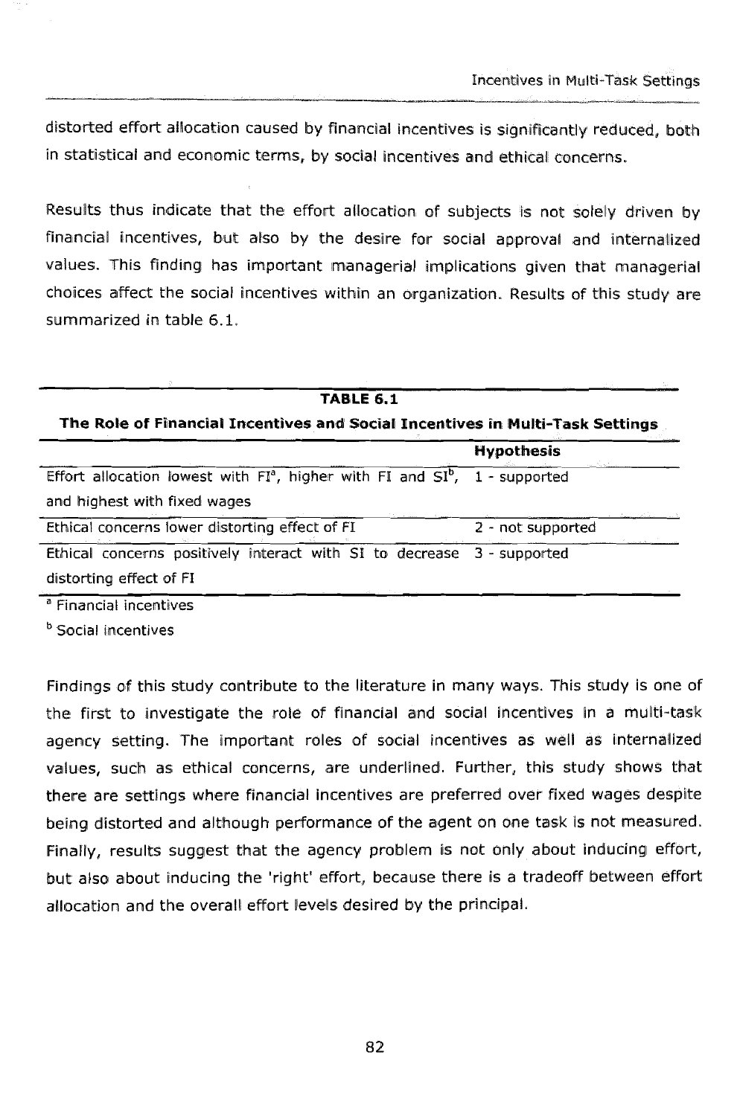**Incentives in Multi-Task Settings** 

distorted effort allocation caused by financial incentives is significantly reduced, both in statistical and economic terms, by social incentives and ethical concerns.

Results thus indicate that the effort allocation of subjects is not solely driven by financial incentives, but also by the desire for social approval and internalized values. This finding has important managerial implications given that managerial choices affect the social incentives within an organization. Results of this study are summarized in table 6.1.

| <b>TABLE 6.1</b><br>The Role of Financial Incentives and Social Incentives in Multi-Task Settings                |                   |
|------------------------------------------------------------------------------------------------------------------|-------------------|
|                                                                                                                  |                   |
| Effort allocation lowest with $FI^a$ , higher with FI and $SI^b$ , 1 - supported<br>and highest with fixed wages |                   |
| Ethical concerns lower distorting effect of FI                                                                   | 2 - not supported |
| Ethical concerns positively interact with SI to decrease 3 - supported<br>distorting effect of FI                |                   |

<sup>a</sup> Financial incentives

<sup>b</sup> Social incentives

Findings of this study contribute to the literature in many ways. This study is one of the first to investigate the role of financial and social incentives in a multi-task agency setting. The important roles of social incentives as well as internalized values, such as ethical concerns, are underlined. Further, this study shows that there are settings where financial incentives are preferred over fixed wages despite being distorted and although performance of the agent on one task is not measured. Finally, results suggest that the agency problem is not only about inducing effort, but also about inducing the 'right' effort, because there is a tradeoff between effort allocation and the overall effort levels desired by the principal.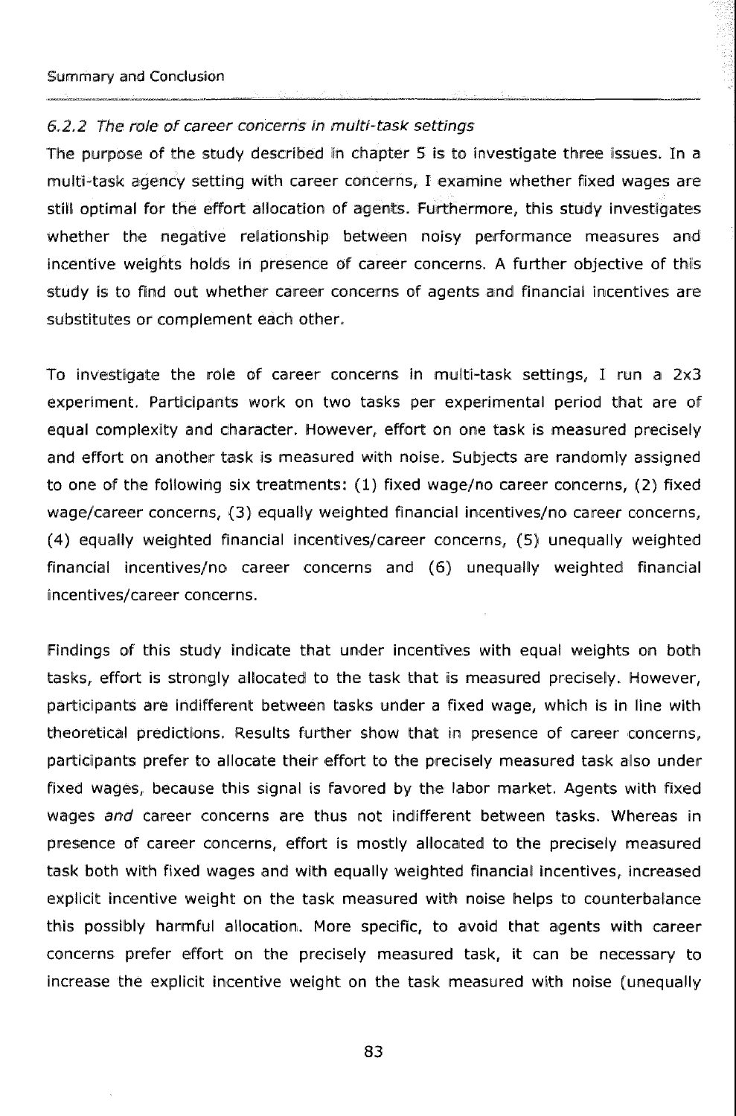#### 6.2.2 The role of career concerns in multi-task settings

The purpose of the study described in chapter 5 is to investigate three issues. In a multi-task agency setting with career concerns, I examine whether fixed wages are still optimal for the effort allocation of agents. Furthermore, this study investigates whether the negative relationship between noisy performance measures and incentive weights holds in presence of career concerns. A further objective of this study is to find out whether career concerns of agents and financial incentives are substitutes or complement each other.

To investigate the role of career concerns in multi-task settings, I run a 2x3 experiment. Participants work on two tasks per experimental period that are of equal complexity and character. However, effort on one task is measured precisely and effort on another task is measured with noise. Subjects are randomly assigned to one of the following six treatments: (1) fixed wage/no career concerns, (2) fixed wage/career concerns, (3) equally weighted financial incentives/no career concerns, (4) equally weighted financial incentives/career concerns, (5) unequally weighted financial incentives/no career concerns and (6) unequally weighted financial incentives/career concerns.

Findings of this study indicate that under incentives with equal weights on both tasks, effort is strongly allocated to the task that is measured precisely. However, participants are indifferent between tasks under a fixed wage, which is in line with theoretical predictions. Results further show that in presence of career concerns, participants prefer to allocate their effort to the precisely measured task also under fixed wages, because this signal is favored by the labor market. Agents with fixed wages and career concerns are thus not indifferent between tasks. Whereas in presence of career concerns, effort is mostly allocated to the precisely measured task both with fixed wages and with equally weighted financial incentives, increased explicit incentive weight on the task measured with noise helps to counterbalance this possibly harmful allocation. More specific, to avoid that agents with career concerns prefer effort on the precisely measured task, it can be necessary to increase the explicit incentive weight on the task measured with noise (unequally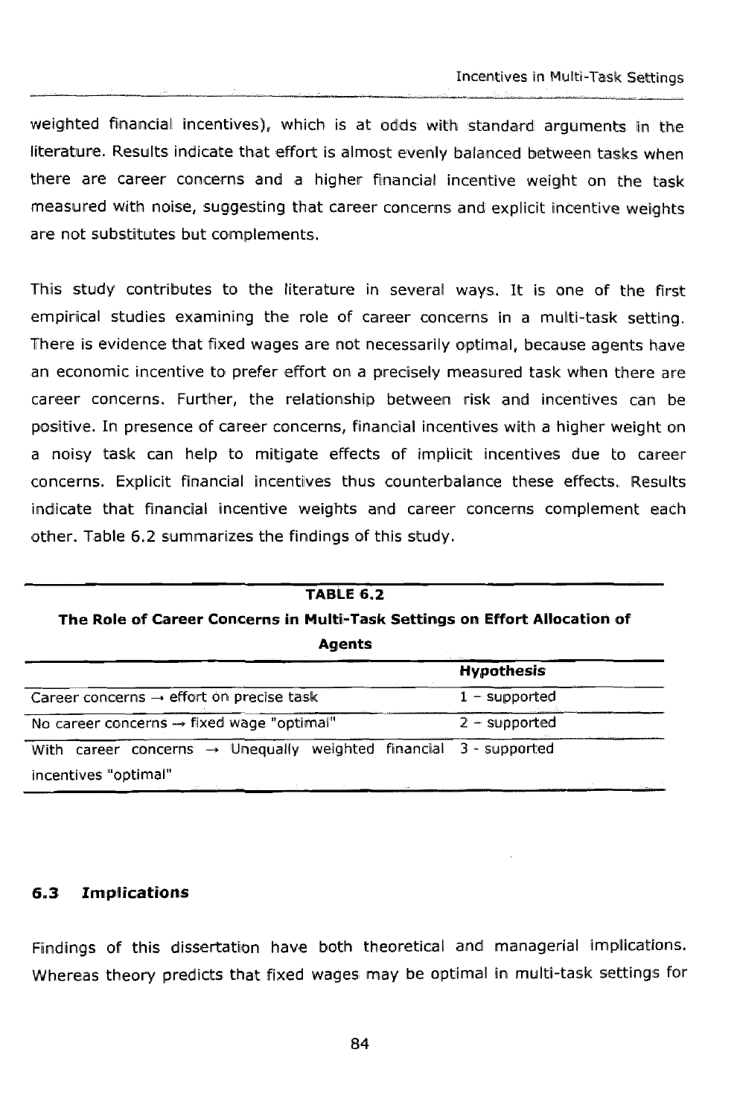weighted financial incentives), which is at odds with standard arguments in the literature. Results indicate that effort is almost evenly balanced between tasks when there are career concerns and a higher financial incentive weight on the task measured with noise, suggesting that career concerns and explicit incentive weights are not substitutes but complements.

This study contributes to the literature in several ways. It is one of the first empirical studies examining the role of career concerns in a multi-task setting. There is evidence that fixed wages are not necessarily optimal, because agents have an economic incentive to prefer effort on a precisely measured task when there are career concerns. Further, the relationship between risk and incentives can be positive. In presence of career concerns, financial incentives with a higher weight on a noisy task can help to mitigate effects of implicit incentives due to career concerns. Explicit financial incentives thus counterbalance these effects, Results indicate that financial incentive weights and career concerns complement each other. Table 6.2 summarizes the findings of this study.

| <b>TABLE 6.2</b><br>The Role of Career Concerns in Multi-Task Settings on Effort Allocation of<br>Agents |                   |
|----------------------------------------------------------------------------------------------------------|-------------------|
|                                                                                                          | <b>Hypothesis</b> |
| Career concerns $\rightarrow$ effort on precise task                                                     | $1 -$ supported   |
| No career concerns $\rightarrow$ fixed wage "optimal"                                                    | $2 -$ supported   |
| With career concerns $\rightarrow$ Unequally weighted financial 3 - supported<br>incentives "optimal"    |                   |

#### $6.3$ **Implications**

Findings of this dissertation have both theoretical and managerial implications. Whereas theory predicts that fixed wages may be optimal in multi-task settings for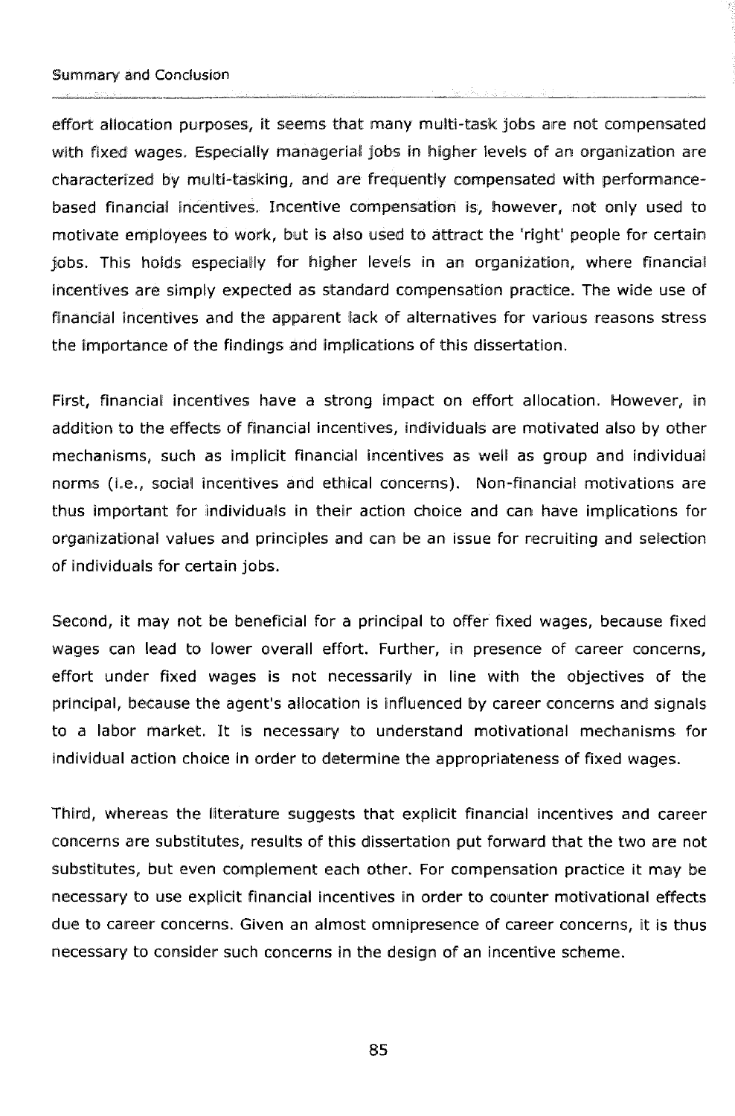-- ----- -- , - - - effort allocation purposes, it seems that many multi-task jobs are not compensated with fixed wages. Especially managerial jobs in higher levels of an organization are characterized by multi-tasking, and are frequently compensated with performancebased financial incentives. Incentive compensation is, however, not only used to motivate employees to work, but is also used to attract the 'right' people for certain jobs. This holds especially far higher levels in an organization, where financial incentives are simply expected as standard compensation practice. The wide use of Financial incentives and the apparent lack of alternatives for various reasons stress the importance of the findings and implications of this dissertation.

First, financial incentives have a strong impact on effort allocation. However, in addition to the effects of financial incentives, individuals are motivated also by other mechanisms, such as implicit financial incentives as well as group and individual norms (i.e., social incentives and ethical concerns). Non-financial motivations are thus important for individuals in their action choice and can have implications for organizational values and principles and can be an issue for recruiting and selection of individuals For certain jobs.

Second, it may not be beneficial for a principal to offer fixed wages, because fixed wages can lead to lower overall effort. Further, in presence of career concerns, effort under fixed wages is not necessarily in line with the objectives of the principal, because the agent's allocation is influenced by career concerns and signals to a labor market. It is necessary to understand motivational mechanisms for individual action choice in order to determine the appropriateness of fixed wages.

Third, whereas the literature suggests that explicit financial incentives and career concerns are substitutes, results of this dissertation put forward that the two are not substitutes, but even complement each other. For compensation practice it may be necessary to use explicit financial incentives in order to counter motivational effects due to career concerns. Given an almost omnipresence of career concerns, it is thus necessary to consider such concerns in the design of an incentive scheme.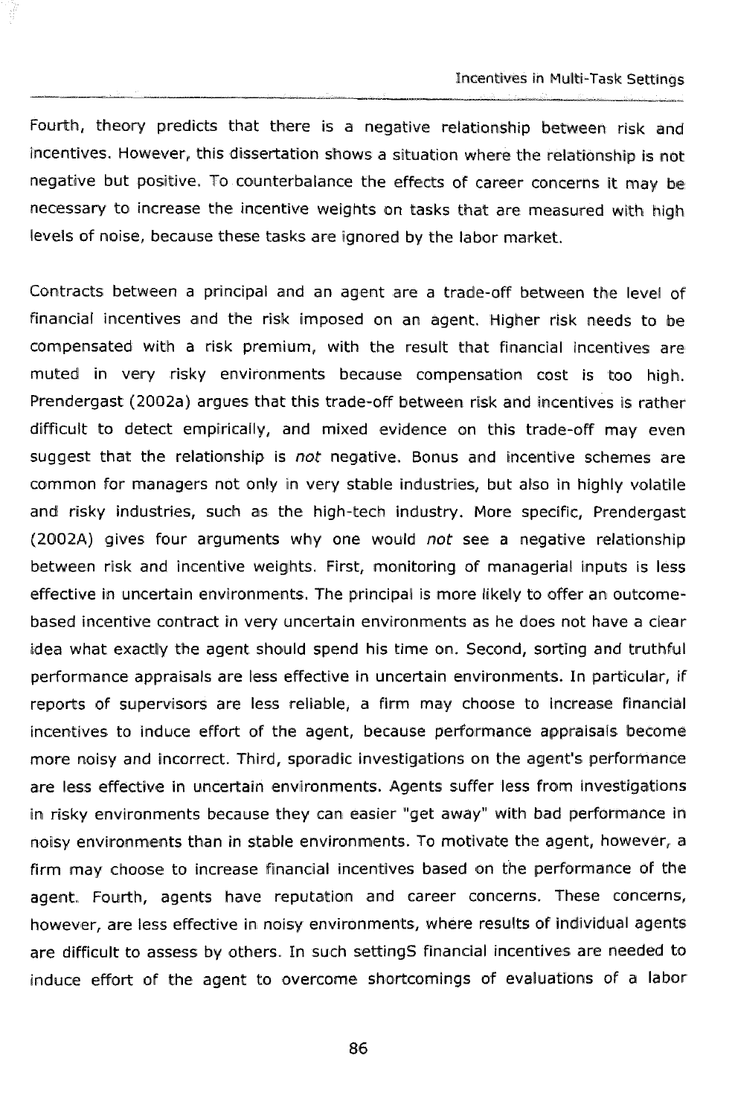Fourth, theory predictional process of the contract of the contract of the contract of the contract of the contract of the contract of the contract of the contract of the contract of the contract of the contract of the con Fourth, theory predicts that there is a negative relationship between risk and incentives. However, this dissertation shows a situation where the relationship is not negative but positive. To colunterbalance the effects of career concerns it may **bc**  necessary to increase the incentive weights on tasks that are measured with high levels of noise, because these tasks are ignored by the labor market.

Contracts between a principal and an agent are a trade-off between the level of financial incentives and the risk imposed on an agent. Higher risk needs to be compensated with a risk premium, with the result that financial incentives are muted in very risky environments because compensation cost is too high. Prendergast (2002a) argues that this trade-off between risk and incentives is rather difficult to detect empirically, and mixed evidence on this trade-off may even suggest that the relationship is not negative. Bonus and incentive schemes are common for managers not only in very stable industries, but also in highly volatile and risky industries, such as the high-tech industry. More specific, Prendergast (2002A) gives four arguments why one would not see a negative relationship between risk and incentive weights. First, monitoring of managerial inputs is less effective in uncertain environments. The principal is more likely to offer an outcomebased incentive contract in very uncertain environments as he does not have a clear idea what exactly the agent should spend his time on. Second, sorting and truthful performance appraisals are less effective in uncertain environments. In particular, if reports of supervisors are less reliable, a firm may choose to increase financial incentives to induce effort of the agent, because performance appraisals become more noisy and incorrect. Third, sporadic investigations on the agent's performance are less effective in uncertain environments. Agents suffer less from investigations in risky environments because they can easier "get away" with bad performance in noisy environments than in stable environments. To motivate the agent, however, a firm may choose to increase financial incentives based on the performance of the agent. Fourth, agents have reputation and career concerns. These concerns, however, are less effective in noisy environments, where results of individual agents are difficult to assess by others. In such settingS financial incentives are needed to induce effort of the agent to overcame shortcomings of evaluations of a labor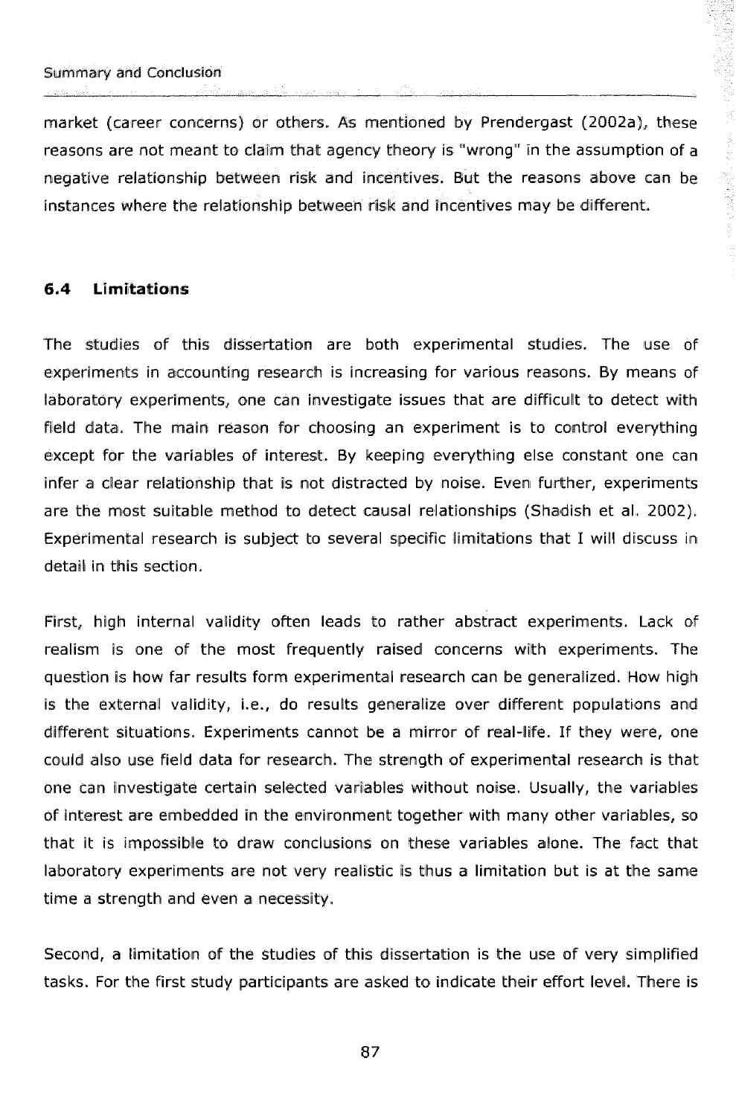market (career concerns) or others. As mentioned by Prendergast (2002a), these reasons are not meant to claim that agency theory is "wrong" in the assumption of a negative relationship between risk and Irrcenti\yres. But the reasons above can be instances where the relationship between risk and incentives may be different.

#### **6.4 Limitations**

The studies of this dissertation are bath experimental studies. The use of experiments in accounting research is increasing for various reasons. By means of laboratory experiments, one can investigate issues that are diFficult to detect with Field data. The main reason for choosing an experiment is to control everything except for the variables of interest. By keeping everything else constant one can infer a clear relationship that is not distracted by noise. Even further, experiments are the most suitable method to detect causal relationships (Shadish et al. 20012). Experimental research is subject to several specific limitations that I will discuss in detail in this section.

First, high internal validity often leads to rather abstract experiments. Lack of realism is one of the most frequently raised concerns with experiments. The question is how far results form experimental research can be generalized. How high is the external validity, i.e., do results generalize over different populations and different situations. Experiments cannot be a mirror of real-life. If they were, one could also use field data for research. The strength of experimental research is that one can investigate certain selected variables without noise. Usually, the variables of interest are embedded in the environment together with many other variables, so that it is impossible to draw conclusions on these variables alone. The fact that laboratory experiments are not very realistic is thus a limitation but is at the same time a strength and even a necesslity.

Second, a limitation of the studies of this dissertation is the use of very simplified tasks. For the first study participants are asked to indicate their effort level. There is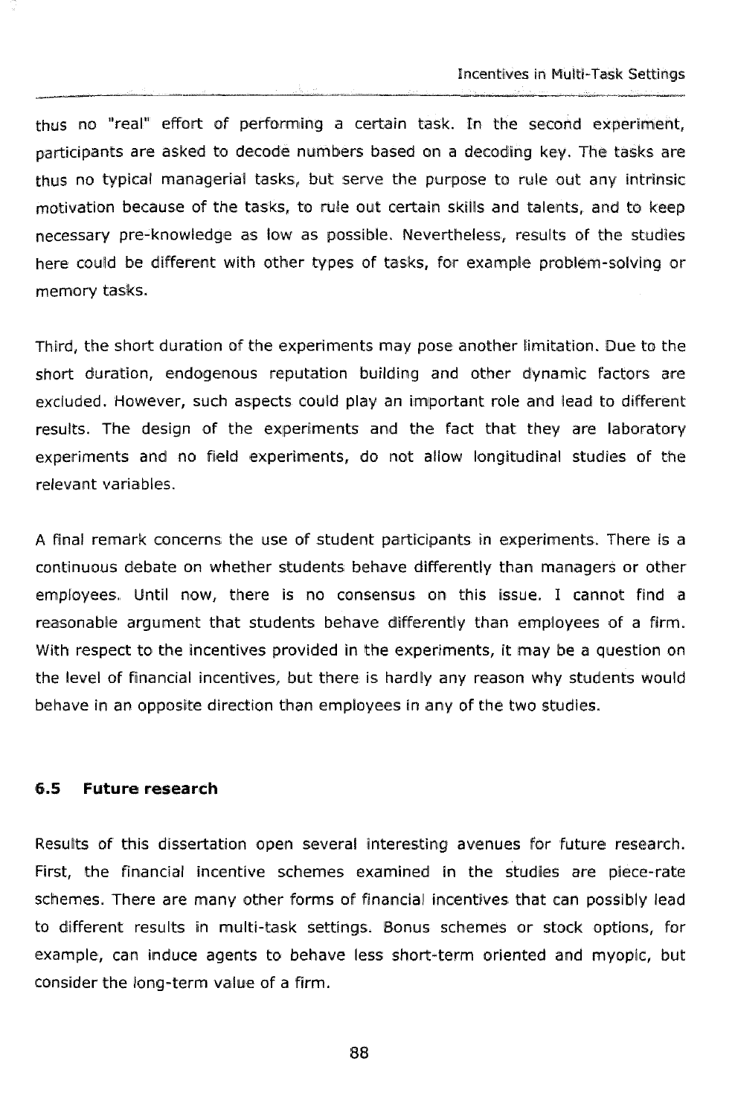thus no "real" effort of performing a certain task. In the second experiment, participants are asked to decade numbers based on a decoding key. Tlie tasks are thus no typical managerial tasks, but serve the purpose to rule out any intrinsic motivation because of the tasks, to rule out certain skills and talents, and to keep necessary pre-knowledge as low as possible. Nevertheless, results of the studies here could be different with other types of tasks, for example problem-solving or memory tasks.

- -<-----

Third, the short duration of the experiments may pose another limitation. Due to the short duration, endogenous reputation building and other dynamic factors are excluded. However, such aspects could play an important role and lead to different results. The design of the experiments and the fact that they are laboratory experiments and no field experiments, do not allow longitudinal studies of the relevant variables.

A final remark concerns the use of student participants in experiments. There is a continuous debate on whether students behave differently than managers or other employees. Until now, there is no consensus on this issue. I cannot find a reasonable argument that students behave differently than employees of a firm. With respect to the incentives provided in the experiments, it may be a question on the level of financial incentives, but there is hardly any reason why students would behave in an opposite direction than employees in any of the two studies.

#### **6.5 Fwtura research**

Results of this dissertation open several interesting avenues for future research. First, the financial incentive schemes examined in the studies are piece-rate schemes. There are many other forms of financial incentives that can possibly lead to different results in multi-task settings. Bonus schemes or stock options, For example, can induce agents to behave less short-term oriented and myopic, but consider the long-term value of a firm.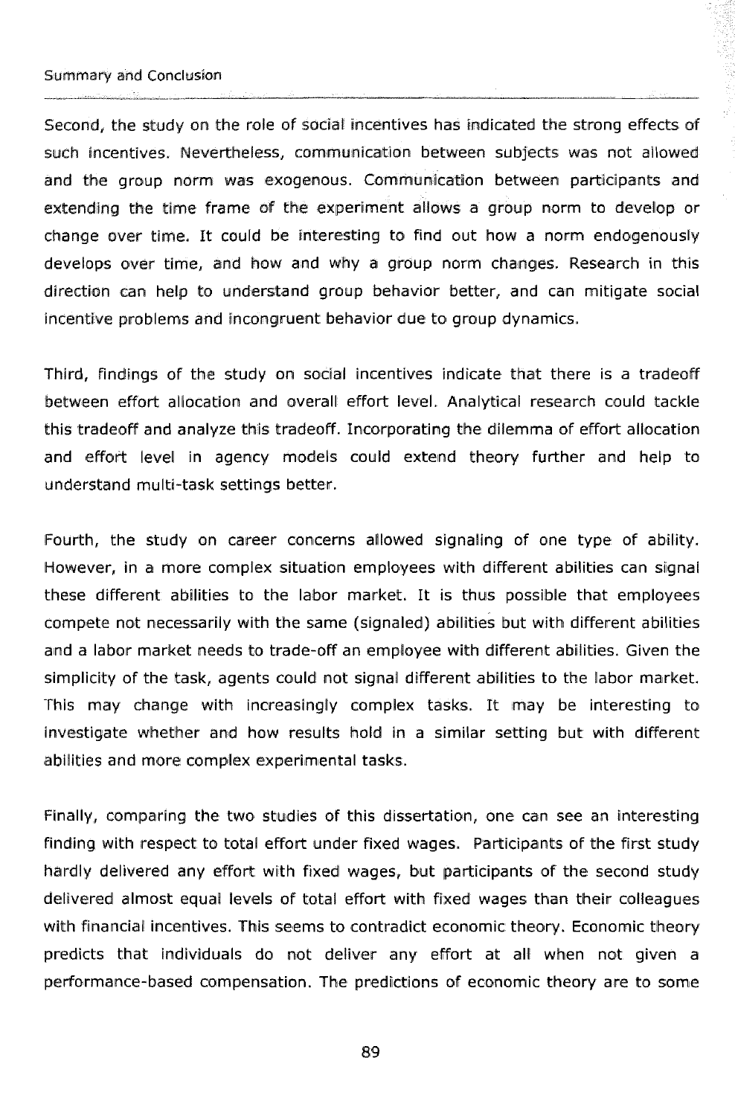Second, the study on the role of social incentives has indicated the strong effects of such incentives. Nevertheless, communication between subjects was not allowed and the group norm was exogenous. Communication between participants and extending the time frame of the experiment allows a group norm to develop or change over time. It could be interesting to find out how a norm endogenously develops over time, and how and why a group norm changes. Research in this direction can help to understand group behavior better, and can mitigate social incentive problems and incongruent behavior due to group dynamics.

Third, findings of the study on social incentives indicate that there is a tradeoff between effort allocation and overall effort level. Analytical research could tackle this tradeoff and analyze this tradeoff. Incorporating the dilemma of effort allocation and effort level in agency models could extend theory further and help to understand multi-task settings better.

Fourth, the study on career concerns allowed signaling of one type of ability. However, in a more complex situation employees with different abilities can signal these different abilities to the labor market. It is thus possible that employees compete not necessarily with the same (signaled) abilities but with different abilities and a labor market needs to trade-off an employee with different abilities. Given the simplicity of the task, agents could not signal different abilities to the labor market. This may change with increasingly complex tasks. It may be interesting to investigate whether and how results hold in a similar setting but with different abilities and more complex experimental tasks.

Finally, comparing the two studies of this dissertation, one can see an interesting finding with respect to total effort under fixed wages. Participants of the first study hardly delivered any effort with fixed wages, but participants of the second study delivered almost equal levels of total effort with fixed wages than their colleagues with financial incentives. This seems to contradict economic theory. Economic theory predicts that individuals do not deliver any effort at all when not given a performance-based compensation. The predictions of economic theory are to some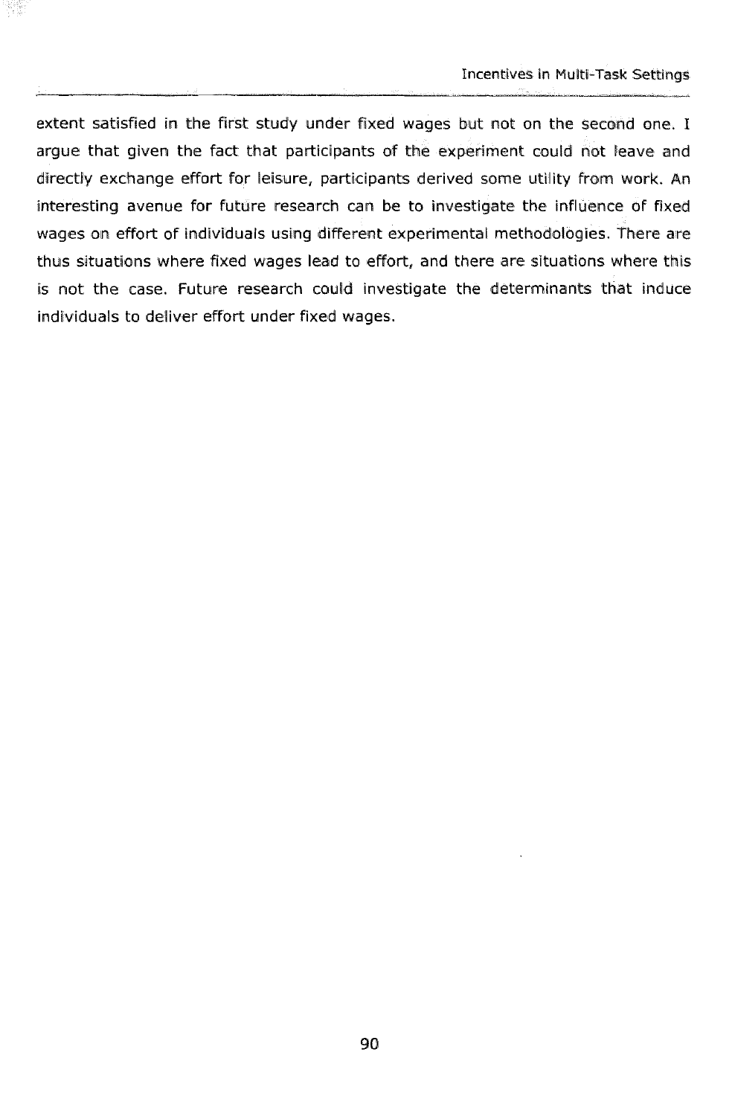extent satisfied in the first study under fixed wages but not on the second one. I argue that given the fact that participants of the experiment could not leave and directly exchange effort for leisure, participants derived some utility from work. An interesting avenue for future research can be to investigate the influence of fixed wages on effort of individuals using different experimental methodologies. There are thus situations where fixed wages lead to effort, and there are situations where this is not the case. Future research could investigate the determinants that induce individuals to deliver effort under fixed wages.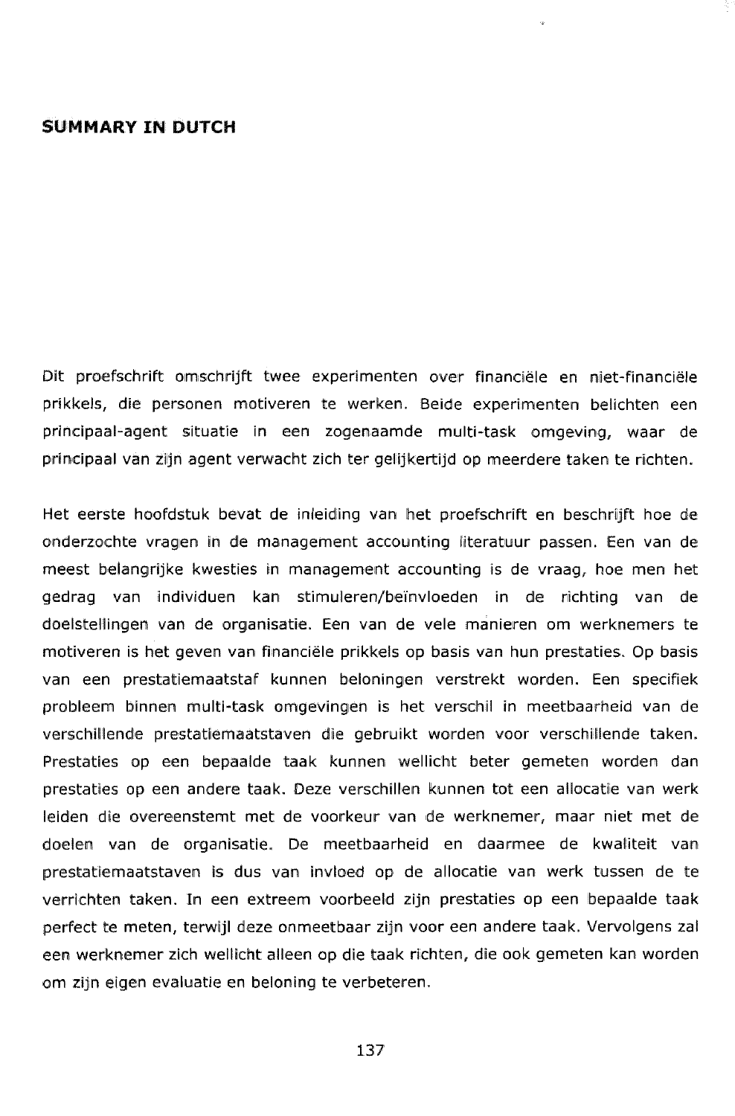#### **SWMMARY IN DWTCH**

Dit proefschrift omschrijft twee experimenten over financiële en niet-financiële prikkels, die personen motiveren te werken. Beide experimenten belichten een principaal-agent situatie in een zogenaamde multi-task omgeving, waar de principaal van zijn agent verwacht zich ter gelijkertijd op meerdere taken te richten.

Het eerste hoofdstuk bevat de inleiding van het proefschrift en beschrijft hoe de onderzochte vragen in de management accounting literatuur passen. Een van de meest belangrijke kwesties in management accounting is de vraag, hoe men het gedrag van individuen kan stimuleren/beïnvloeden in de richting van de doelstellingen van de organisatie. Een van de vele manieren om werknemers te motiveren is het geven van financieile prikkels op basis wan hun prestaties. Op basis van een prestatiemaatstaf kunnen beloningen verstrekt worden. Een specifiek probleem binnen multi-task omgevingen is het verschil in meetbaarheid van de verschillende prestatiemaatstaven die gebruikt worden voor verschillende taken. Prestaties op een bepaalde taak kunnen wellicht beter gemeten worden dan prestaties op een andere taak. Deze verschillen kunnen tot een allocatie van werk leiden die overeenstemt met de voorkeur van de werknemer, maar niet met de doelen van de organisatie. De meetbaarheid en daarmee de kwaliteit van prestatiemaatstaven is dus van invloed op de allocatie van werk tussen de te verrichten taken. In een extreem voorbeeld zijn prestaties op een bepaalde taak perfect: te meten, terwijl deze onmeetbaar zijn voor een andere taak. Vervolgens zal een werknemer zich wellicht alleen op die taak richten, die ook gemeten kan worden om zijn eigen evaluatie en beloning te verbeteren.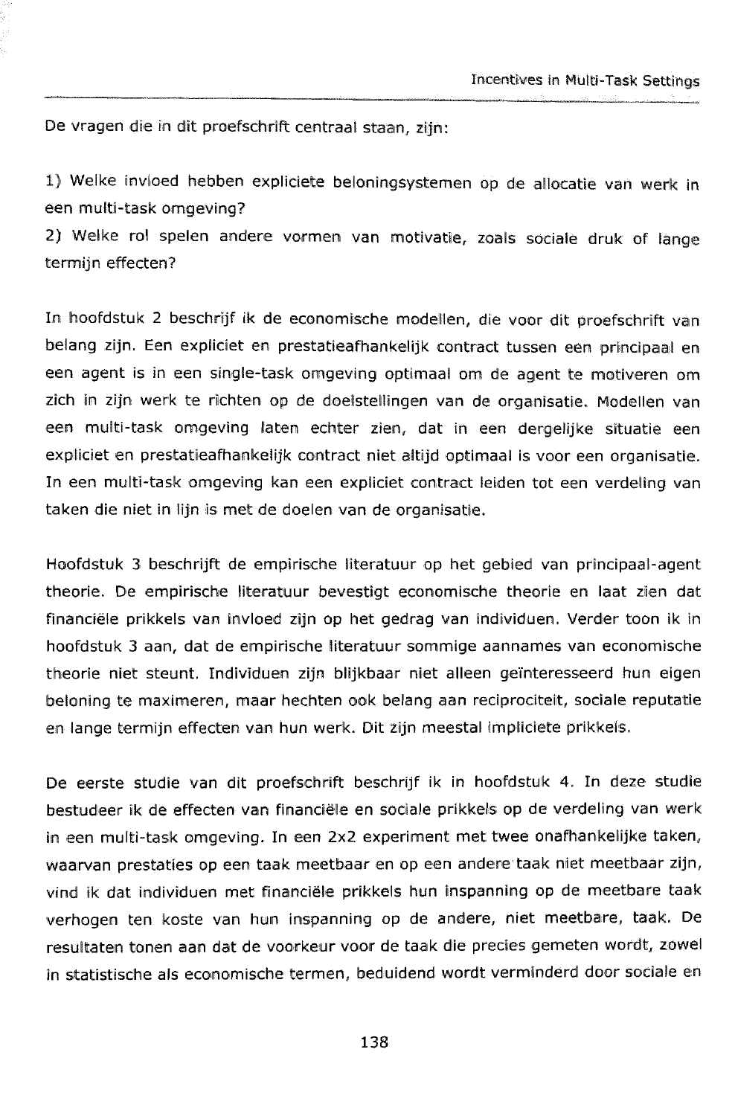$\overline{p}$ De vragen die in dit proefschrift centraal staan, zijn:

IJ Welke invloed hebben expliciete beloningsystemen op de allocatie wan werk in een multi-task omgeving?

2) Welke rol spelen andere vormen van motivatie, zoals sociale druk of lange termijn effecten?

In hoofdstuk Z beschrijf ik de economische modellen, die voor dik proefschrift valn belang zijn. Een expliciet en prestatieafhankelijk contract tussen een principaal en een agent is in een single-kask omgeving optimaai om de agent te motiveren om zich in zijn werk te richten op de doelstellingen van de organisatie. Modellen van een multi-task omgeving laten echter zien, dat in een dergelijke situatie een expliciet en prestatieafhankelijk contract niet altijd optimaal is voor een organisatie. In een, multi-task omgeving kan een expliciet contract leiden tot een verdelling van taken die niet in lijn is met de doelen van de organisatie.

Hoofdstuk 3 beschrijft de empirische literatuur op het gebied van principaal-agent theorie. De empirische literatuur bevestigt economische theorie en laak zien dat financiële prikkels van invloed zijn op het gedrag van individuen. Verder toon ik in hoofdstuk 3 aan, dat de empirische literatuur sommige aannames van economische theorie niet steunt. Individuen zijn blijkbaar niet alleen geïnteresseerd hun eigen beloning te maximeren, maar hechten ook belang aan reciprociteit, sociale reputatie en lange termlijn effecten van hun werk. Dit zijn meectal Impliciete prikkels.

De eerste studie van dit proefschrift beschrijf ik in hoofdstuk 4. In deze studie bestudeer ik de effecten van financiële en sociale prikkels op de verdeling van werk in een multi-task omgeving. In een 2x2 experiment met twee onafhankelijke taken, waarvan prestaties op een taak meetbaar en op een andere taak niet meetbaar zijn, vind ik dat individuen met financiële prikkels hun inspanning op de meetbare taak verhogen ten koste van hun inspanning op de andere, niet meetbare, taak. De resultaten tonen aan dat de voorkeur voor de taak die precies gemeten wordt, zowel in statistische als economische termen, beduidend wordt vermlnderd door sociale en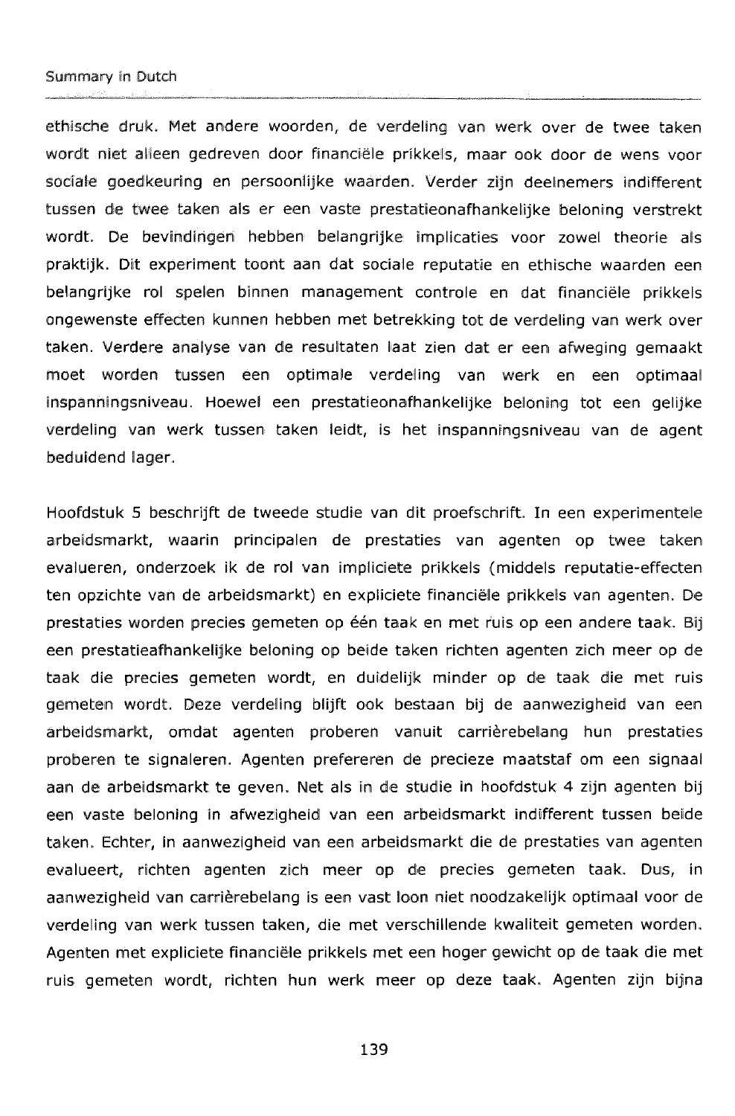#### Summary in Dutch

ethische druk. Met andere woorden, de verdeling van werk over de twee taken wordt niet alleen gedreven door financiële prikkels, maar ook door de wens voor sociale goedkeuring en persoonlijke waarden. Verder zijn deelnemers indifferent tussen de twee taken als er een vaste prestatieonafhankelijke beloning verstrekt wordt. De bevindingen hebben belangrijke implicaties voor zowel theorie als praktijk. Dit experiment toont aan dat sociale reputatie en ethische waarden een belangrijke rol spelen binnen management controle en dat financiële prikkels ongewenste effecten kunnen hebben met betrekking tot de verdeling van werk over taken. Verdere analyse van de resultaten laat zien dat er een afweging gemaakt moet worden tussen een optimale verdeling van werk en een optimaal iinspanningsniveau. Hoewel een prestatieonafhankelijke beloning tot een gelijke verdeling van werk tussen taken leidt, is het inspanningsniveau van de agent beduidend lager.

Hoofdstuk 5 beschrijft de tweede studie van dit proefschrift. In een experimentele arbeidsmarkt, waarin principalen de prestaties van agenten op twee taken evalueren, onderzoek ik de rol van impliciete prikkels (middels reputatie-effecten ten opzichte van de arbeidsmarkt) en expliciete financiële prikkels van agenten. De prestaties worden precies gemeten op één taak en met ruis op een andere taak. Bij een prestatieafhankelijke beloning op beide taken richten agenten zich meer op de taak die precies gemeten wordt, en duidelijk minder op de taak die met ruis gemeten wordt. Deze verdeling blijft ook bestaan bij de aanwezigheid van een arbeidsmärkt, omdat agenten proberen vanuit carrièrebelang hun prestaties proberen te signaleren. Agenten prefereren de precieze maatstaf om een signaal aan de arbeidsmarkt te geven. Net als in de studie in hoofdstuk 4 zijn agenten bij een waste beloning in afwezigheid van een arbeidsmarkt indifferent tussen beide taken, Echter, In aanwezigheid wan een arbeidsmarkt die de prestaties van agenten evalueert, richten agenten zich meer op de precies gemeten taak. Dus, in aanwezigheid van carribrebelang is een vast loon niet noodzakelijk optimaal voor de verdeling van werk tussen taken, die met verschillende kwaliteit gemeten worden. Agenten met expliciete financiële prikkels met een hoger gewicht op de taak die met ruis gemeten wordt, richten hun werk meer op deze taak. Agenten zijn bijna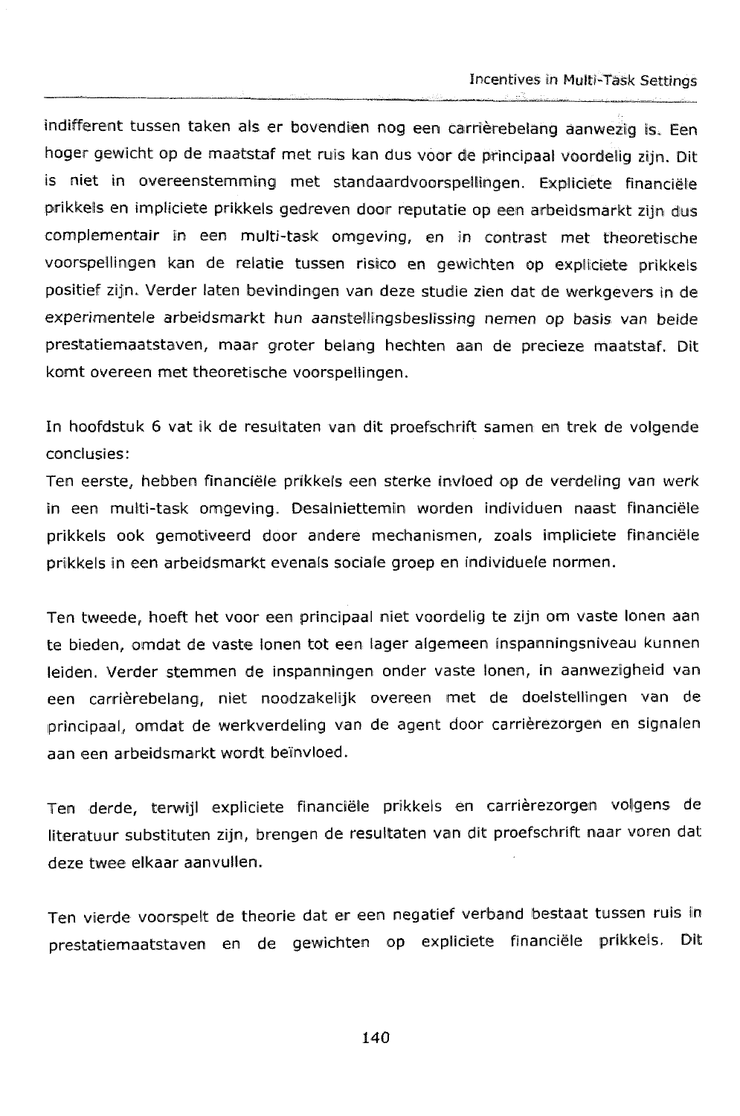indifferent tussen taken als er bovendien nog een carrièrebelang aanwezig Is, Een hoger gewicht op de maatstaf met ruis kan dus voor de principaal voordelig zijn. Dit is niet in overeenstemming met standaardvoorspellingen. Expliciete financiële prikkels en impliciete prikkels gedreven door reputatie op een arbeidsmarkt zijn dus complementair in een multi-task omgeving, en in contrast met theoretische voorspellingen kan de relatie tussen risico en gewichten op expliciete prikkels positief zijn. Verder laten bevindingen van deze studie zien dat de werkgevers in de experimentele arbeidsmarkt hun aanstellingsbeslissing nemen op basis van beide prestatiernaatstaven, maar groter belang hechten aan de precieze maatstaf. Dit komt overeen met theoretische voorspellingen.

In hoofdstuk 6 vat ik de resultaten van dit proefschrift samen en trek de volgende conclusies:

Ten eerste, hebben financiële prikkels een sterke invloed op de verdeling van werk in een multi-task omgeving. Desalniettemin worden individuen naast financiële prikkels ook gemotiveerd deer andere mechanismen, zoals impliciete financiele prikkels in een arbeidsmarkt evenals sociale groep en individuele normen.

Ten tweede, hoeft het voor een principaal niet voordelig te zijn om vaste lonen aan te bieden, omdat de vaste lonen tot een lager algemeen inspanningsniveau kunnen leiden. Verder stemmen de inspanningen onder vaste lonen, in aanwesrgiheid van een carrièrebelang, niet noodzakelijk overeen met de doelstellingen van de principaal, omdat de werkverdeling van de agent door carrièrezorgen en signalen aan een arbeidsmarkt wordt beinvloed.

Ten derde, terwijl expliciete financiële prikkels en carrièrezorgen volgens de literatuur substituten zijn, brengen de resultaten van dit proefschrift naar voren dat deze twee elkaar aanvullen.

Ten vierde voorspelt de theorie dat er een negatief verband bestaat tussen ruis in prestatiemaatstaven en de gewichten op expliciete financiële prikkels. Dit